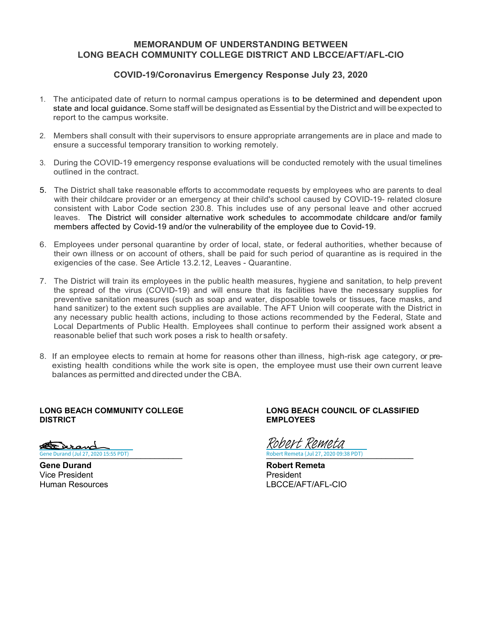## **MEMORANDUM OF UNDERSTANDING BETWEEN LONG BEACH COMMUNITY COLLEGE DISTRICT AND LBCCE/AFT/AFL-CIO**

## **COVID-19/Coronavirus Emergency Response July 23, 2020**

- 1. The anticipated date of return to normal campus operations is to be determined and dependent upon state and local quidance. Some staff will be designated as Essential by the District and will be expected to report to the campus worksite.
- 2. Members shall consult with their supervisors to ensure appropriate arrangements are in place and made to ensure a successful temporary transition to working remotely.
- 3. During the COVID-19 emergency response evaluations will be conducted remotely with the usual timelines outlined in the contract.
- 5. The District shall take reasonable efforts to accommodate requests by employees who are parents to deal with their childcare provider or an emergency at their child's school caused by COVID-19- related closure consistent with Labor Code section 230.8. This includes use of any personal leave and other accrued leaves. The District will consider alternative work schedules to accommodate childcare and/or family members affected by Covid-19 and/or the vulnerability of the employee due to Covid-19.
- 6. Employees under personal quarantine by order of local, state, or federal authorities, whether because of their own illness or on account of others, shall be paid for such period of quarantine as is required in the exigencies of the case. See Article 13.2.12, Leaves - Quarantine.
- 7. The District will train its employees in the public health measures, hygiene and sanitation, to help prevent the spread of the virus (COVID-19) and will ensure that its facilities have the necessary supplies for preventive sanitation measures (such as soap and water, disposable towels or tissues, face masks, and hand sanitizer) to the extent such supplies are available. The AFT Union will cooperate with the District in any necessary public health actions, including to those actions recommended by the Federal, State and Local Departments of Public Health. Employees shall continue to perform their assigned work absent a reasonable belief that such work poses a risk to health or safety.
- 8. If an employee elects to remain at home for reasons other than illness, high-risk age category, or preexisting health conditions while the work site is open, the employee must use their own current leave balances as permitted and directed under the CBA.

Berand Gene Durand (Jul 27, 2020 15:55 PDT)

Vice President (President Article State Article State Article State Article State Article State Article State<br>President President (President Article State Article State Article State Article State Article State Article S

#### **LONG BEACH COMMUNITY COLLEGE LONG BEACH COUNCIL OF CLASSIFIED EMPLOYEES**

[\\_\\_\\_\\_\\_\\_\\_\\_\\_\\_\\_\\_\\_\\_\\_\\_\\_\\_\\_\\_\\_\\_\\_\\_\\_\\_\\_\\_\\_\\_\\_](https://na2.documents.adobe.com/verifier?tx=CBJCHBCAABAAKlTHz1IPhdFRhA1Q3N7oOcUBLZV_3tLJ) [\\_\\_\\_\\_\\_\\_\\_\\_\\_\\_\\_\\_\\_\\_\\_\\_\\_\\_\\_\\_\\_\\_\\_\\_\\_\\_\\_\\_\\_\\_\\_\\_](https://na2.documents.adobe.com/verifier?tx=CBJCHBCAABAAKlTHz1IPhdFRhA1Q3N7oOcUBLZV_3tLJ) Robert Remeta (Jul 27, 2020 09:38 PDT) Robert Remeta

**Gene Durand Robert Remeta** LBCCE/AFT/AFL-CIO